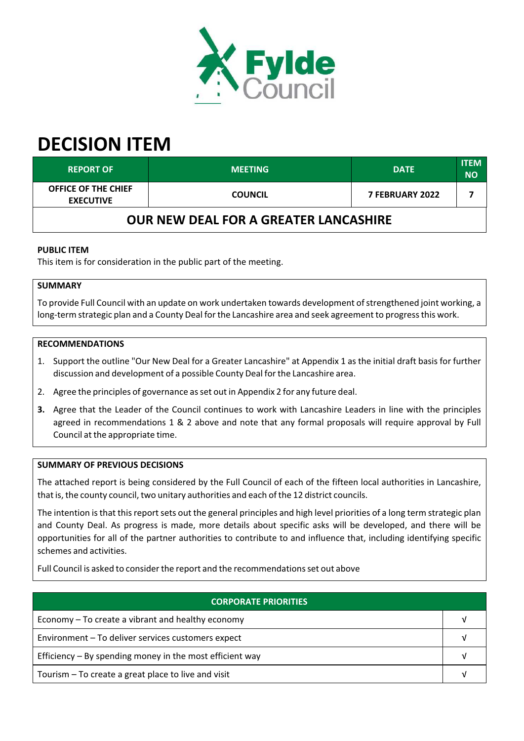

# **DECISION ITEM**

| <b>REPORT OF</b>                             | <b>MEETING</b> | <b>DATE</b>            | <b>ITEM</b><br><b>NO</b> |  |
|----------------------------------------------|----------------|------------------------|--------------------------|--|
| OFFICE OF THE CHIEF<br><b>EXECUTIVE</b>      | <b>COUNCIL</b> | <b>7 FEBRUARY 2022</b> |                          |  |
| <b>OUR NEW DEAL FOR A GREATER LANCASHIRE</b> |                |                        |                          |  |

## **PUBLIC ITEM**

This item is for consideration in the public part of the meeting.

## **SUMMARY**

To provide Full Council with an update on work undertaken towards development of strengthened joint working, a long-term strategic plan and a County Deal for the Lancashire area and seek agreement to progress this work.

#### **RECOMMENDATIONS**

- 1. Support the outline "Our New Deal for a Greater Lancashire" at Appendix 1 as the initial draft basis for further discussion and development of a possible County Deal forthe Lancashire area.
- 2. Agree the principles of governance asset out in Appendix 2 for any future deal.
- **3.** Agree that the Leader of the Council continues to work with Lancashire Leaders in line with the principles agreed in recommendations 1 & 2 above and note that any formal proposals will require approval by Full Council at the appropriate time.

#### **SUMMARY OF PREVIOUS DECISIONS**

The attached report is being considered by the Full Council of each of the fifteen local authorities in Lancashire, that is, the county council, two unitary authorities and each of the 12 district councils.

The intention is that this report sets out the general principles and high level priorities of a long term strategic plan and County Deal. As progress is made, more details about specific asks will be developed, and there will be opportunities for all of the partner authorities to contribute to and influence that, including identifying specific schemes and activities.

Full Council is asked to consider the report and the recommendations set out above

| <b>CORPORATE PRIORITIES</b>                                |  |  |
|------------------------------------------------------------|--|--|
| Economy – To create a vibrant and healthy economy          |  |  |
| Environment - To deliver services customers expect         |  |  |
| Efficiency $-$ By spending money in the most efficient way |  |  |
| Tourism – To create a great place to live and visit        |  |  |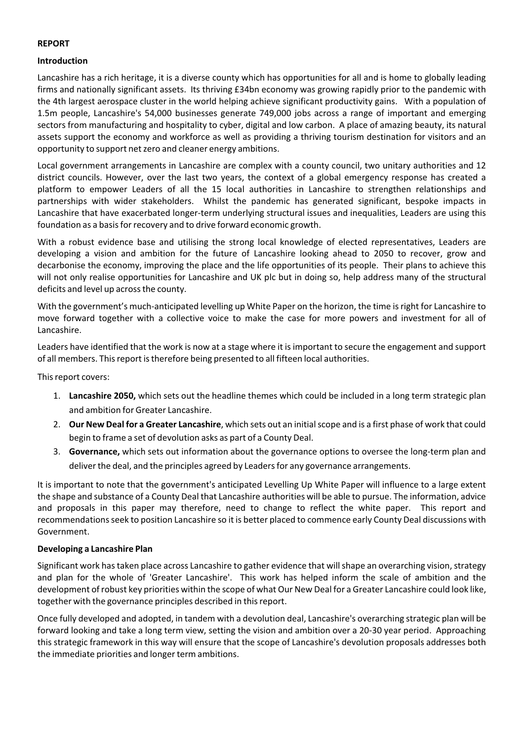#### **REPORT**

#### **Introduction**

Lancashire has a rich heritage, it is a diverse county which has opportunities for all and is home to globally leading firms and nationally significant assets. Its thriving £34bn economy was growing rapidly prior to the pandemic with the 4th largest aerospace cluster in the world helping achieve significant productivity gains. With a population of 1.5m people, Lancashire's 54,000 businesses generate 749,000 jobs across a range of important and emerging sectors from manufacturing and hospitality to cyber, digital and low carbon. A place of amazing beauty, its natural assets support the economy and workforce as well as providing a thriving tourism destination for visitors and an opportunity to support netzero and cleaner energy ambitions.

Local government arrangements in Lancashire are complex with a county council, two unitary authorities and 12 district councils. However, over the last two years, the context of a global emergency response has created a platform to empower Leaders of all the 15 local authorities in Lancashire to strengthen relationships and partnerships with wider stakeholders. Whilst the pandemic has generated significant, bespoke impacts in Lancashire that have exacerbated longer-term underlying structural issues and inequalities, Leaders are using this foundation as a basis for recovery and to drive forward economic growth.

With a robust evidence base and utilising the strong local knowledge of elected representatives, Leaders are developing a vision and ambition for the future of Lancashire looking ahead to 2050 to recover, grow and decarbonise the economy, improving the place and the life opportunities of its people. Their plans to achieve this will not only realise opportunities for Lancashire and UK plc but in doing so, help address many of the structural deficits and level up across the county.

With the government's much-anticipated levelling up White Paper on the horizon, the time is right for Lancashire to move forward together with a collective voice to make the case for more powers and investment for all of Lancashire.

Leaders have identified that the work is now at a stage where it isimportant to secure the engagement and support of all members. Thisreport istherefore being presented to all fifteen local authorities.

This report covers:

- 1. **Lancashire 2050,** which sets out the headline themes which could be included in a long term strategic plan and ambition for Greater Lancashire.
- 2. **Our New Deal for a Greater Lancashire**, which sets out an initialscope and is a first phase of work that could begin to frame a set of devolution asks as part of a County Deal.
- 3. **Governance,** which sets out information about the governance options to oversee the long‐term plan and deliver the deal, and the principles agreed by Leaders for any governance arrangements.

It is important to note that the government's anticipated Levelling Up White Paper will influence to a large extent the shape and substance of a County Deal that Lancashire authorities will be able to pursue. The information, advice and proposals in this paper may therefore, need to change to reflect the white paper. This report and recommendationsseek to position Lancashire so it is better placed to commence early County Deal discussions with Government.

#### **Developing a Lancashire Plan**

Significant work has taken place across Lancashire to gather evidence that will shape an overarching vision, strategy and plan for the whole of 'Greater Lancashire'. This work has helped inform the scale of ambition and the development ofrobust key priorities within the scope of what Our New Deal for a Greater Lancashire could look like, together with the governance principles described in thisreport.

Once fully developed and adopted, in tandem with a devolution deal, Lancashire's overarching strategic plan will be forward looking and take a long term view, setting the vision and ambition over a 20‐30 year period. Approaching this strategic framework in this way will ensure that the scope of Lancashire's devolution proposals addresses both the immediate priorities and longer term ambitions.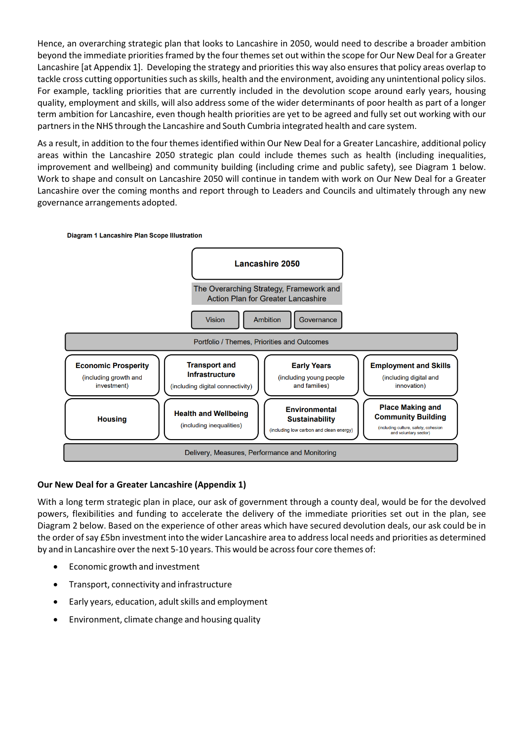Hence, an overarching strategic plan that looks to Lancashire in 2050, would need to describe a broader ambition beyond the immediate priorities framed by the four themes set out within the scope for Our New Deal for a Greater Lancashire [at Appendix 1]. Developing the strategy and priorities this way also ensures that policy areas overlap to tackle cross cutting opportunities such as skills, health and the environment, avoiding any unintentional policy silos. For example, tackling priorities that are currently included in the devolution scope around early years, housing quality, employment and skills, will also address some of the wider determinants of poor health as part of a longer term ambition for Lancashire, even though health priorities are yet to be agreed and fully set out working with our partnersin the NHS through the Lancashire and South Cumbria integrated health and care system.

As a result, in addition to the four themesidentified within Our New Deal for a Greater Lancashire, additional policy areas within the Lancashire 2050 strategic plan could include themes such as health (including inequalities, improvement and wellbeing) and community building (including crime and public safety), see Diagram 1 below. Work to shape and consult on Lancashire 2050 will continue in tandem with work on Our New Deal for a Greater Lancashire over the coming months and report through to Leaders and Councils and ultimately through any new governance arrangements adopted.



### **Our New Deal for a Greater Lancashire (Appendix 1)**

With a long term strategic plan in place, our ask of government through a county deal, would be for the devolved powers, flexibilities and funding to accelerate the delivery of the immediate priorities set out in the plan, see Diagram 2 below. Based on the experience of other areas which have secured devolution deals, our ask could be in the order ofsay £5bn investment into the wider Lancashire area to addresslocal needs and priorities as determined by and in Lancashire overthe next 5‐10 years. This would be acrossfour core themes of:

- Economic growth and investment
- Transport, connectivity and infrastructure
- Early years, education, adultskills and employment
- Environment, climate change and housing quality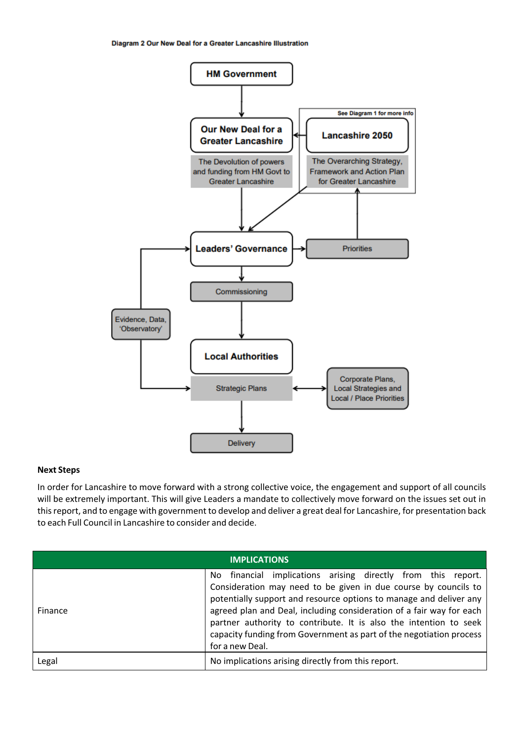

#### **Next Steps**

In order for Lancashire to move forward with a strong collective voice, the engagement and support of all councils will be extremely important. This will give Leaders a mandate to collectively move forward on the issues set out in thisreport, and to engage with government to develop and deliver a great deal for Lancashire, for presentation back to each Full Council in Lancashire to consider and decide.

| <b>IMPLICATIONS</b> |                                                                                                                                                                                                                                                                                                                                                                                                                                                  |  |  |
|---------------------|--------------------------------------------------------------------------------------------------------------------------------------------------------------------------------------------------------------------------------------------------------------------------------------------------------------------------------------------------------------------------------------------------------------------------------------------------|--|--|
| Finance             | financial implications arising directly from this report.<br>No.<br>Consideration may need to be given in due course by councils to<br>potentially support and resource options to manage and deliver any<br>agreed plan and Deal, including consideration of a fair way for each<br>partner authority to contribute. It is also the intention to seek<br>capacity funding from Government as part of the negotiation process<br>for a new Deal. |  |  |
| Legal               | No implications arising directly from this report.                                                                                                                                                                                                                                                                                                                                                                                               |  |  |